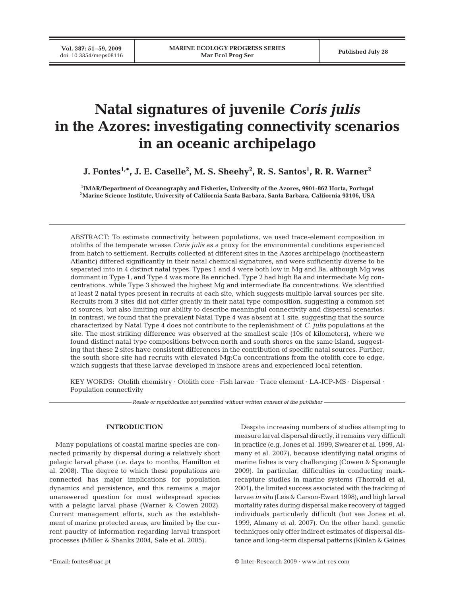**Vol. 387: 51–59, 2009**

# **Natal signatures of juvenile** *Coris julis* **in the Azores: investigating connectivity scenarios in an oceanic archipelago**

**J. Fontes1,\*, J. E. Caselle2 , M. S. Sheehy2 , R. S. Santos1 , R. R. Warner2**

**1 IMAR/Department of Oceanography and Fisheries, University of the Azores, 9901-862 Horta, Portugal 2Marine Science Institute, University of California Santa Barbara, Santa Barbara, California 93106, USA**

ABSTRACT: To estimate connectivity between populations, we used trace-element composition in otoliths of the temperate wrasse *Coris julis* as a proxy for the environmental conditions experienced from hatch to settlement. Recruits collected at different sites in the Azores archipelago (northeastern Atlantic) differed significantly in their natal chemical signatures, and were sufficiently diverse to be separated into in 4 distinct natal types. Types 1 and 4 were both low in Mg and Ba, although Mg was dominant in Type 1, and Type 4 was more Ba enriched. Type 2 had high Ba and intermediate Mg concentrations, while Type 3 showed the highest Mg and intermediate Ba concentrations. We identified at least 2 natal types present in recruits at each site, which suggests multiple larval sources per site. Recruits from 3 sites did not differ greatly in their natal type composition, suggesting a common set of sources, but also limiting our ability to describe meaningful connectivity and dispersal scenarios. In contrast, we found that the prevalent Natal Type 4 was absent at 1 site, suggesting that the source characterized by Natal Type 4 does not contribute to the replenishment of *C. julis* populations at the site. The most striking difference was observed at the smallest scale (10s of kilometers), where we found distinct natal type compositions between north and south shores on the same island, suggesting that these 2 sites have consistent differences in the contribution of specific natal sources. Further, the south shore site had recruits with elevated Mg:Ca concentrations from the otolith core to edge, which suggests that these larvae developed in inshore areas and experienced local retention.

KEY WORDS: Otolith chemistry · Otolith core · Fish larvae · Trace element · LA-ICP-MS · Dispersal · Population connectivity

*Resale or republication not permitted without written consent of the publisher*

### **INTRODUCTION**

Many populations of coastal marine species are connected primarily by dispersal during a relatively short pelagic larval phase (i.e. days to months; Hamilton et al. 2008). The degree to which these populations are connected has major implications for population dynamics and persistence, and this remains a major unanswered question for most widespread species with a pelagic larval phase (Warner & Cowen 2002). Current management efforts, such as the establishment of marine protected areas, are limited by the current paucity of information regarding larval transport processes (Miller & Shanks 2004, Sale et al. 2005).

Despite increasing numbers of studies attempting to measure larval dispersal directly, it remains very difficult in practice (e.g. Jones et al. 1999, Swearer et al. 1999, Almany et al. 2007), because identifying natal origins of marine fishes is very challenging (Cowen & Sponaugle 2009). In particular, difficulties in conducting markrecapture studies in marine systems (Thorrold et al. 2001), the limited success associated with the tracking of larvae *in situ* (Leis & Carson-Ewart 1998), and high larval mortality rates during dispersal make recovery of tagged individuals particularly difficult (but see Jones et al. 1999, Almany et al. 2007). On the other hand, genetic techniques only offer indirect estimates of dispersal distance and long-term dispersal patterns (Kinlan & Gaines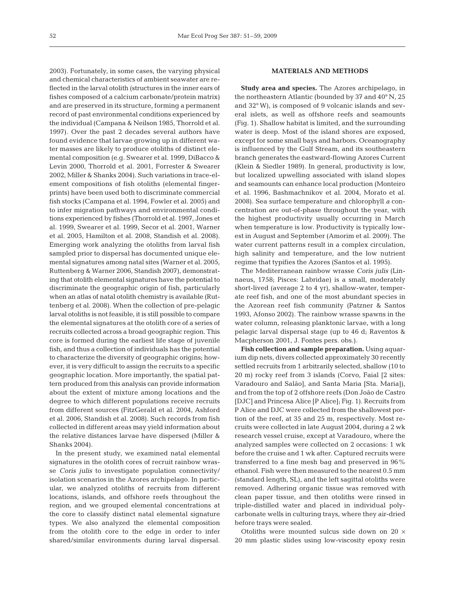2003). Fortunately, in some cases, the varying physical and chemical characteristics of ambient seawater are reflected in the larval otolith (structures in the inner ears of fishes composed of a calcium carbonate/protein matrix) and are preserved in its structure, forming a permanent record of past environmental conditions experienced by the individual (Campana & Neilson 1985, Thorrold et al. 1997). Over the past 2 decades several authors have found evidence that larvae growing up in different water masses are likely to produce otoliths of distinct elemental composition (e.g. Swearer et al. 1999, DiBacco & Levin 2000, Thorrold et al. 2001, Forrester & Swearer 2002, Miller & Shanks 2004). Such variations in trace-element compositions of fish otoliths (elemental fingerprints) have been used both to discriminate commercial fish stocks (Campana et al. 1994, Fowler et al. 2005) and to infer migration pathways and environmental conditions experienced by fishes (Thorrold et al. 1997, Jones et al. 1999, Swearer et al. 1999, Secor et al. 2001, Warner et al. 2005, Hamilton et al. 2008, Standish et al. 2008). Emerging work analyzing the otoliths from larval fish sampled prior to dispersal has documented unique elemental signatures among natal sites (Warner et al. 2005, Ruttenberg & Warner 2006, Standish 2007), demonstrating that otolith elemental signatures have the potential to discriminate the geographic origin of fish, particularly when an atlas of natal otolith chemistry is available (Ruttenberg et al. 2008). When the collection of pre-pelagic larval otoliths is not feasible, it is still possible to compare the elemental signatures at the otolith core of a series of recruits collected across a broad geographic region. This core is formed during the earliest life stage of juvenile fish, and thus a collection of individuals has the potential to characterize the diversity of geographic origins; however, it is very difficult to assign the recruits to a specific geographic location. More importantly, the spatial pattern produced from this analysis can provide information about the extent of mixture among locations and the degree to which different populations receive recruits from different sources (FitzGerald et al. 2004, Ashford et al. 2006, Standish et al. 2008). Such records from fish collected in different areas may yield information about the relative distances larvae have dispersed (Miller & Shanks 2004).

In the present study, we examined natal elemental signatures in the otolith cores of recruit rainbow wrasse *Coris julis* to investigate population connectivity/ isolation scenarios in the Azores archipelago. In particular, we analyzed otoliths of recruits from different locations, islands, and offshore reefs throughout the region, and we grouped elemental concentrations at the core to classify distinct natal elemental signature types. We also analyzed the elemental composition from the otolith core to the edge in order to infer shared/similar environments during larval dispersal.

#### **MATERIALS AND METHODS**

**Study area and species.** The Azores archipelago, in the northeastern Atlantic (bounded by 37 and 40° N, 25 and 32° W), is composed of 9 volcanic islands and several islets, as well as offshore reefs and seamounts (Fig. 1). Shallow habitat is limited, and the surrounding water is deep. Most of the island shores are exposed, except for some small bays and harbors. Oceanography is influenced by the Gulf Stream, and its southeastern branch generates the eastward-flowing Azores Current (Klein & Siedler 1989). In general, productivity is low, but localized upwelling associated with island slopes and seamounts can enhance local production (Monteiro et al. 1996, Bashmachnikov et al. 2004, Morato et al. 2008). Sea surface temperature and chlorophyll *a* concentration are out-of-phase throughout the year, with the highest productivity usually occurring in March when temperature is low. Productivity is typically lowest in August and September (Amorim et al. 2009). The water current patterns result in a complex circulation, high salinity and temperature, and the low nutrient regime that typifies the Azores (Santos et al. 1995).

The Mediterranean rainbow wrasse *Coris julis* (Linnaeus, 1758; Pisces: Labridae) is a small, moderately short-lived (average 2 to 4 yr), shallow-water, temperate reef fish, and one of the most abundant species in the Azorean reef fish community (Patzner & Santos 1993, Afonso 2002). The rainbow wrasse spawns in the water column, releasing planktonic larvae, with a long pelagic larval dispersal stage (up to 46 d; Raventos & Macpherson 2001, J. Fontes pers. obs.).

**Fish collection and sample preparation.** Using aquarium dip nets, divers collected approximately 30 recently settled recruits from 1 arbitrarily selected, shallow (10 to 20 m) rocky reef from 3 islands (Corvo, Faial [2 sites: Varadouro and Salão], and Santa Maria [Sta. Maria]), and from the top of 2 offshore reefs (Don João de Castro [DJC] and Princesa Alice [P Alice]; Fig. 1). Recruits from P Alice and DJC were collected from the shallowest portion of the reef, at 35 and 25 m, respectively. Most recruits were collected in late August 2004, during a 2 wk research vessel cruise, except at Varadouro, where the analyzed samples were collected on 2 occasions: 1 wk before the cruise and 1 wk after. Captured recruits were transferred to a fine mesh bag and preserved in 96% ethanol. Fish were then measured to the nearest 0.5 mm (standard length, SL), and the left sagittal otoliths were removed. Adhering organic tissue was removed with clean paper tissue, and then otoliths were rinsed in triple-distilled water and placed in individual polycarbonate wells in culturing trays, where they air-dried before trays were sealed.

Otoliths were mounted sulcus side down on 20  $\times$ 20 mm plastic slides using low-viscosity epoxy resin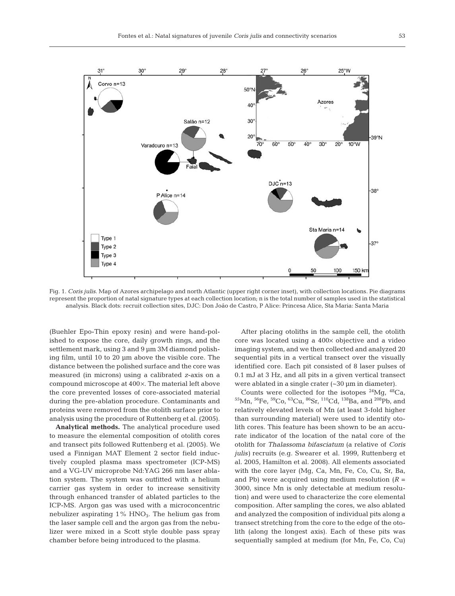

Fig. 1. *Coris julis*. Map of Azores archipelago and north Atlantic (upper right corner inset), with collection locations. Pie diagrams represent the proportion of natal signature types at each collection location; n is the total number of samples used in the statistical analysis. Black dots: recruit collection sites, DJC: Don João de Castro, P Alice: Princesa Alice, Sta Maria: Santa Maria

(Buehler Epo-Thin epoxy resin) and were hand-polished to expose the core, daily growth rings, and the settlement mark, using 3 and 9  $\mu$ m 3M diamond polishing film, until 10 to 20 µm above the visible core. The distance between the polished surface and the core was measured (in microns) using a calibrated *z*-axis on a compound microscope at 400×. The material left above the core prevented losses of core-associated material during the pre-ablation procedure. Contaminants and proteins were removed from the otolith surface prior to analysis using the procedure of Ruttenberg et al. (2005).

**Analytical methods.** The analytical procedure used to measure the elemental composition of otolith cores and transect pits followed Ruttenberg et al. (2005). We used a Finnigan MAT Element 2 sector field inductively coupled plasma mass spectrometer (ICP-MS) and a VG-UV microprobe Nd:YAG 266 nm laser ablation system. The system was outfitted with a helium carrier gas system in order to increase sensitivity through enhanced transfer of ablated particles to the ICP-MS. Argon gas was used with a microconcentric nebulizer aspirating 1% HNO<sub>3</sub>. The helium gas from the laser sample cell and the argon gas from the nebulizer were mixed in a Scott style double pass spray chamber before being introduced to the plasma.

After placing otoliths in the sample cell, the otolith core was located using a 400× objective and a video imaging system, and we then collected and analyzed 20 sequential pits in a vertical transect over the visually identified core. Each pit consisted of 8 laser pulses of 0.1 mJ at 3 Hz, and all pits in a given vertical transect were ablated in a single crater (~30 µm in diameter).

Counts were collected for the isotopes  $^{24}Mg$ ,  $^{48}Ca$ , 55Mn, 56Fe, 59Co, 63Cu, 86Sr, 110Cd, 138Ba, and 208Pb, and relatively elevated levels of Mn (at least 3-fold higher than surrounding material) were used to identify otolith cores. This feature has been shown to be an accurate indicator of the location of the natal core of the otolith for *Thalassoma bifasciatum* (a relative of *Coris julis)* recruits (e.g. Swearer et al. 1999, Ruttenberg et al. 2005, Hamilton et al. 2008). All elements associated with the core layer (Mg, Ca, Mn, Fe, Co, Cu, Sr, Ba, and Pb) were acquired using medium resolution  $(R =$ 3000, since Mn is only detectable at medium resolution) and were used to characterize the core elemental composition. After sampling the cores, we also ablated and analyzed the composition of individual pits along a transect stretching from the core to the edge of the otolith (along the longest axis). Each of these pits was sequentially sampled at medium (for Mn, Fe, Co, Cu)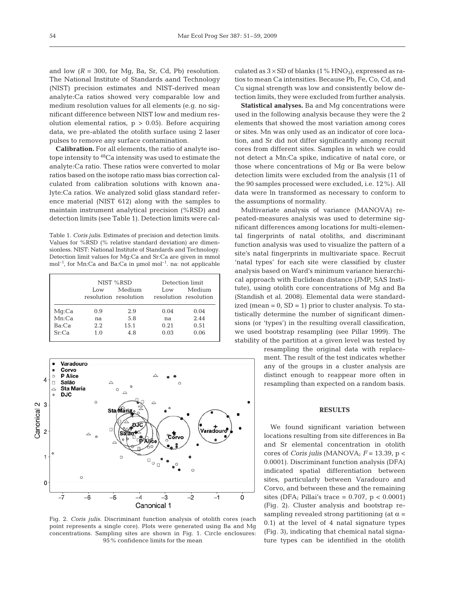and low  $(R = 300$ , for Mg, Ba, Sr, Cd, Pb) resolution. The National Institute of Standards aand Technology (NIST) precision estimates and NIST-derived mean analyte:Ca ratios showed very comparable low and medium resolution values for all elements (e.g. no significant difference between NIST low and medium resolution elemental ratios,  $p > 0.05$ ). Before acquiring data, we pre-ablated the otolith surface using 2 laser pulses to remove any surface contamination.

**Calibration.** For all elements, the ratio of analyte isotope intensity to 48Ca intensity was used to estimate the analyte:Ca ratio. These ratios were converted to molar ratios based on the isotope ratio mass bias correction calculated from calibration solutions with known analyte:Ca ratios. We analyzed solid glass standard reference material (NIST 612) along with the samples to maintain instrument analytical precision (%RSD) and detection limits (see Table 1). Detection limits were cal-

Table 1. *Coris julis.* Estimates of precision and detection limits. Values for %RSD (% relative standard deviation) are dimensionless. NIST: National Institute of Standards and Technology. Detection limit values for Mg:Ca and Sr:Ca are given in mmol mol<sup>-1</sup>, for Mn:Ca and Ba:Ca in µmol mol<sup>-1</sup>. na: not applicable

|       | NIST %RSD |                                 | Detection limit |                                 |
|-------|-----------|---------------------------------|-----------------|---------------------------------|
|       | Low.      | Medium<br>resolution resolution | Low             | Medium<br>resolution resolution |
| Mq:Ca | 0.9       | 2.9                             | 0.04            | 0.04                            |
| Mn:Ca | na        | 5.8                             | na              | 2.44                            |
| Ba:Ca | 2.2       | 15.1                            | 0.21            | 0.51                            |
| Sr:Ca | 1.0       | 4.8                             | 0.03            | 0.06                            |



Fig. 2. *Coris julis*. Discriminant function analysis of otolith cores (each point represents a single core). Plots were generated using Ba and Mg concentrations. Sampling sites are shown in Fig. 1. Circle enclosures: 95% confidence limits for the mean

culated as  $3 \times SD$  of blanks (1% HNO<sub>3</sub>), expressed as ratios to mean Ca intensities. Because Pb, Fe, Co, Cd, and Cu signal strength was low and consistently below detection limits, they were excluded from further analysis.

**Statistical analyses.** Ba and Mg concentrations were used in the following analysis because they were the 2 elements that showed the most variation among cores or sites. Mn was only used as an indicator of core location, and Sr did not differ significantly among recruit cores from different sites. Samples in which we could not detect a Mn:Ca spike, indicative of natal core, or those where concentrations of Mg or Ba were below detection limits were excluded from the analysis (11 of the 90 samples processed were excluded, i.e. 12%). All data were ln transformed as necessary to conform to the assumptions of normality.

Multivariate analysis of variance (MANOVA) repeated-measures analysis was used to determine significant differences among locations for multi-elemental fingerprints of natal otoliths, and discriminant function analysis was used to visualize the pattern of a site's natal fingerprints in multivariate space. Recruit 'natal types' for each site were classified by cluster analysis based on Ward's minimum variance hierarchical approach with Euclidean distance (JMP, SAS Institute), using otolith core concentrations of Mg and Ba (Standish et al. 2008). Elemental data were standardized (mean  $= 0$ , SD  $= 1$ ) prior to cluster analysis. To statistically determine the number of significant dimensions (or 'types') in the resulting overall classification, we used bootstrap resampling (see Pillar 1999). The stability of the partition at a given level was tested by

resampling the original data with replacement. The result of the test indicates whether any of the groups in a cluster analysis are distinct enough to reappear more often in resampling than expected on a random basis.

#### **RESULTS**

We found significant variation between locations resulting from site differences in Ba and Sr elemental concentration in otolith cores of *Coris julis* (MANOVA;  $F = 13.39$ ,  $p <$ 0.0001). Discriminant function analysis (DFA) indicated spatial differentiation between sites, particularly between Varadouro and Corvo, and between these and the remaining sites (DFA; Pillai's trace =  $0.707$ ,  $p < 0.0001$ ) (Fig. 2). Cluster analysis and bootstrap resampling revealed strong partitioning (at  $\alpha$  = 0.1) at the level of 4 natal signature types (Fig. 3), indicating that chemical natal signature types can be identified in the otolith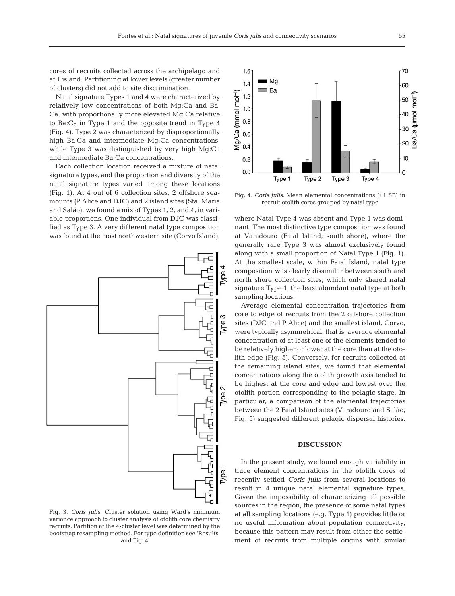cores of recruits collected across the archipelago and at 1 island. Partitioning at lower levels (greater number of clusters) did not add to site discrimination.

Natal signature Types 1 and 4 were characterized by relatively low concentrations of both Mg:Ca and Ba: Ca, with proportionally more elevated Mg:Ca relative to Ba:Ca in Type 1 and the opposite trend in Type 4 (Fig. 4). Type 2 was characterized by disproportionally high Ba:Ca and intermediate Mg:Ca concentrations, while Type 3 was distinguished by very high Mg:Ca and intermediate Ba:Ca concentrations.

Each collection location received a mixture of natal signature types, and the proportion and diversity of the natal signature types varied among these locations (Fig. 1). At 4 out of 6 collection sites, 2 offshore seamounts (P Alice and DJC) and 2 island sites (Sta. Maria and Salão), we found a mix of Types 1, 2, and 4, in variable proportions. One individual from DJC was classified as Type 3. A very different natal type composition was found at the most northwestern site (Corvo Island),



Fig. 3. *Coris julis*. Cluster solution using Ward's minimum variance approach to cluster analysis of otolith core chemistry recruits. Partition at the 4-cluster level was determined by the bootstrap resampling method. For type definition see 'Results' and Fig. 4



Fig. 4. *Coris julis*. Mean elemental concentrations (±1 SE) in recruit otolith cores grouped by natal type

where Natal Type 4 was absent and Type 1 was dominant. The most distinctive type composition was found at Varadouro (Faial Island, south shore), where the generally rare Type 3 was almost exclusively found along with a small proportion of Natal Type 1 (Fig. 1). At the smallest scale, within Faial Island, natal type composition was clearly dissimilar between south and north shore collection sites, which only shared natal signature Type 1, the least abundant natal type at both sampling locations.

Average elemental concentration trajectories from core to edge of recruits from the 2 offshore collection sites (DJC and P Alice) and the smallest island, Corvo, were typically asymmetrical, that is, average elemental concentration of at least one of the elements tended to be relatively higher or lower at the core than at the otolith edge (Fig. 5). Conversely, for recruits collected at the remaining island sites, we found that elemental concentrations along the otolith growth axis tended to be highest at the core and edge and lowest over the otolith portion corresponding to the pelagic stage. In particular, a comparison of the elemental trajectories between the 2 Faial Island sites (Varadouro and Salão; Fig. 5) suggested different pelagic dispersal histories.

## **DISCUSSION**

In the present study, we found enough variability in trace element concentrations in the otolith cores of recently settled *Coris julis* from several locations to result in 4 unique natal elemental signature types. Given the impossibility of characterizing all possible sources in the region, the presence of some natal types at all sampling locations (e.g. Type 1) provides little or no useful information about population connectivity, because this pattern may result from either the settlement of recruits from multiple origins with similar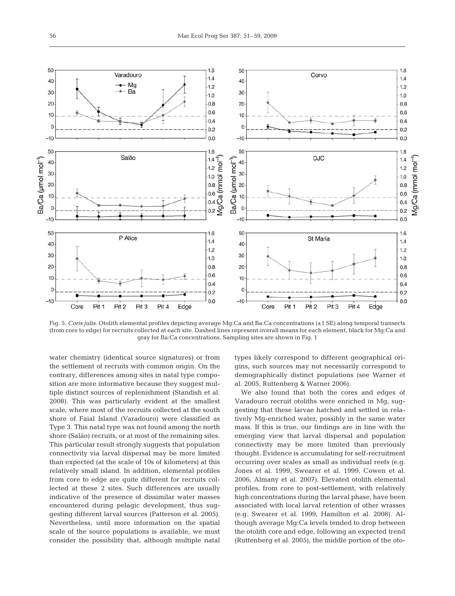

Fig. 5. *Coris julis*. Otolith elemental profiles depicting average Mg:Ca and Ba:Ca concentrations (±1 SE) along temporal transects (from core to edge) for recruits collected at each site. Dashed lines represent overall means for each element, black for Mg:Ca and gray for Ba:Ca concentrations. Sampling sites are shown in Fig. 1

water chemistry (identical source signatures) or from the settlement of recruits with common origin. On the contrary, differences among sites in natal type composition are more informative because they suggest multiple distinct sources of replenishment (Standish et al. 2008). This was particularly evident at the smallest scale, where most of the recruits collected at the south shore of Faial Island (Varadouro) were classified as Type 3. This natal type was not found among the north shore (Salão) recruits, or at most of the remaining sites. This particular result strongly suggests that population connectivity via larval dispersal may be more limited than expected (at the scale of 10s of kilometers) at this relatively small island. In addition, elemental profiles from core to edge are quite different for recruits collected at these 2 sites. Such differences are usually indicative of the presence of dissimilar water masses encountered during pelagic development, thus suggesting different larval sources (Patterson et al. 2005). Nevertheless, until more information on the spatial scale of the source populations is available, we must consider the possibility that, although multiple natal types likely correspond to different geographical origins, such sources may not necessarily correspond to demographically distinct populations (see Warner et al. 2005, Ruttenberg & Warner 2006).

We also found that both the cores and edges of Varadouro recruit otoliths were enriched in Mg, suggesting that these larvae hatched and settled in relatively Mg-enriched water, possibly in the same water mass. If this is true, our findings are in line with the emerging view that larval dispersal and population connectivity may be more limited than previously thought. Evidence is accumulating for self-recruitment occurring over scales as small as individual reefs (e.g. Jones et al. 1999, Swearer et al. 1999, Cowen et al. 2006, Almany et al. 2007). Elevated otolith elemental profiles, from core to post-settlement, with relatively high concentrations during the larval phase, have been associated with local larval retention of other wrasses (e.g. Swearer et al. 1999, Hamilton et al. 2008). Although average Mg:Ca levels tended to drop between the otolith core and edge, following an expected trend (Ruttenberg et al. 2005), the middle portion of the oto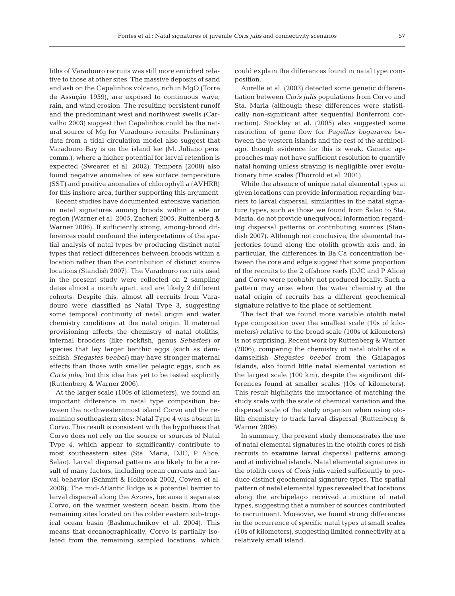liths of Varadouro recruits was still more enriched relative to those at other sites. The massive deposits of sand and ash on the Capelinhos volcano, rich in MgO (Torre de Assução 1959), are exposed to continuous wave, rain, and wind erosion. The resulting persistent runoff and the predominant west and northwest swells (Carvalho 2003) suggest that Capelinhos could be the natural source of Mg for Varadouro recruits. Preliminary data from a tidal circulation model also suggest that Varadouro Bay is on the island lee (M. Juliano pers. comm.), where a higher potential for larval retention is expected (Swearer et al. 2002). Tempera (2008) also found negative anomalies of sea surface temperature (SST) and positive anomalies of chlorophyll *a* (AVHRR) for this inshore area, further supporting this argument.

Recent studies have documented extensive variation in natal signatures among broods within a site or region (Warner et al. 2005, Zacherl 2005, Ruttenberg & Warner 2006). If sufficiently strong, among-brood differences could confound the interpretations of the spatial analysis of natal types by producing distinct natal types that reflect differences between broods within a location rather than the contribution of distinct source locations (Standish 2007). The Varadouro recruits used in the present study were collected on 2 sampling dates almost a month apart, and are likely 2 different cohorts. Despite this, almost all recruits from Varadouro were classified as Natal Type 3, suggesting some temporal continuity of natal origin and water chemistry conditions at the natal origin. If maternal provisioning affects the chemistry of natal otoliths, internal brooders (like rockfish, genus *Sebastes)* or species that lay larger benthic eggs (such as damselfish, *Stegastes beebei)* may have stronger maternal effects than those with smaller pelagic eggs, such as *Coris julis*, but this idea has yet to be tested explicitly (Ruttenberg & Warner 2006).

At the larger scale (100s of kilometers), we found an important difference in natal type composition between the northwesternmost island Corvo and the remaining southeastern sites: Natal Type 4 was absent in Corvo. This result is consistent with the hypothesis that Corvo does not rely on the source or sources of Natal Type 4, which appear to significantly contribute to most southeastern sites (Sta. Maria, DJC, P Alice, Salão). Larval dispersal patterns are likely to be a result of many factors, including ocean currents and larval behavior (Schmitt & Holbrook 2002, Cowen et al. 2006). The mid-Atlantic Ridge is a potential barrier to larval dispersal along the Azores, because it separates Corvo, on the warmer western ocean basin, from the remaining sites located on the colder eastern sub-tropical ocean basin (Bashmachnikov et al. 2004). This means that oceanographically, Corvo is partially isolated from the remaining sampled locations, which could explain the differences found in natal type composition.

Aurelle et al. (2003) detected some genetic differentiation between *Coris julis* populations from Corvo and Sta. Maria (although these differences were statistically non-significant after sequential Bonferroni correction). Stockley et al. (2005) also suggested some restriction of gene flow for *Pagellus bogaraveo* between the western islands and the rest of the archipelago, though evidence for this is weak. Genetic approaches may not have sufficient resolution to quantify natal homing unless straying is negligible over evolutionary time scales (Thorrold et al. 2001).

While the absence of unique natal elemental types at given locations can provide information regarding barriers to larval dispersal, similarities in the natal signature types, such as those we found from Salão to Sta. Maria, do not provide unequivocal information regarding dispersal patterns or contributing sources (Standish 2007). Although not conclusive, the elemental trajectories found along the otolith growth axis and, in particular, the differences in Ba:Ca concentration between the core and edge suggest that some proportion of the recruits to the 2 offshore reefs (DJC and P Alice) and Corvo were probably not produced locally. Such a pattern may arise when the water chemistry at the natal origin of recruits has a different geochemical signature relative to the place of settlement.

The fact that we found more variable otolith natal type composition over the smallest scale (10s of kilometers) relative to the broad scale (100s of kilometers) is not surprising. Recent work by Ruttenberg & Warner (2006), comparing the chemistry of natal otoliths of a damselfish *Stegastes beebei* from the Galapagos Islands, also found little natal elemental variation at the largest scale (100 km), despite the significant differences found at smaller scales (10s of kilometers). This result highlights the importance of matching the study scale with the scale of chemical variation and the dispersal scale of the study organism when using otolith chemistry to track larval dispersal (Ruttenberg & Warner 2006).

In summary, the present study demonstrates the use of natal elemental signatures in the otolith cores of fish recruits to examine larval dispersal patterns among and at individual islands. Natal elemental signatures in the otolith cores of *Coris julis* varied sufficiently to produce distinct geochemical signature types. The spatial pattern of natal elemental types revealed that locations along the archipelago received a mixture of natal types, suggesting that a number of sources contributed to recruitment. Moreover, we found strong differences in the occurrence of specific natal types at small scales (10s of kilometers), suggesting limited connectivity at a relatively small island.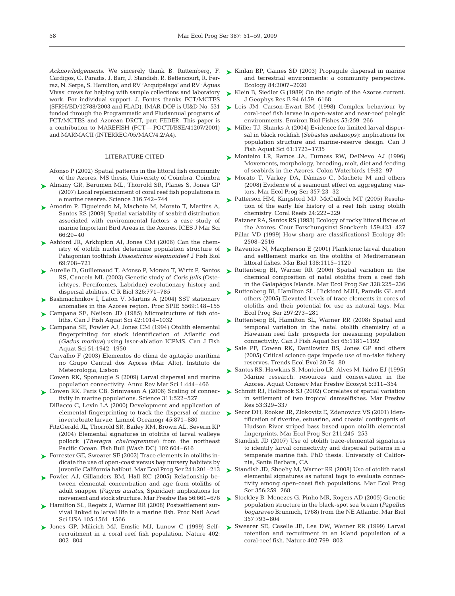*Acknowledgements.* We sincerely thank B. Ruttemberg, F. Cardigos, G. Paradis, J. Barr, J. Standish, R. Bettencourt, R. Ferraz, N. Serpa, S. Hamilton, and RV 'Arquipélago' and RV 'Águas Vivas' crews for helping with sample collections and laboratory work. For individual support, J. Fontes thanks FCT/MCTES (SFRH/BD/12788/2003 and FLAD). IMAR-DOP is UI&D No. 531 funded through the Programmatic and Pluriannual programs of FCT/MCTES and Azorean DRCT, part FEDER. This paper is a contribution to MAREFISH (FCT — POCTI/BSE/41207/2001) and MARMACII (INTERREG/05/MAC/4.2/A4).

#### LITERATURE CITED

Afonso P (2002) Spatial patterns in the littoral fish community of the Azores. MS thesis, University of Coimbra, Coimbra

- ► Almany GR, Berumen ML, Thorrold SR, Planes S, Jones GP (2007) Local replenishment of coral reef fish populations in a marine reserve. Science 316:742–744
- ▶ Amorim P, Figueiredo M, Machete M, Morato T, Martins A, Santos RS (2009) Spatial variability of seabird distribution associated with environmental factors: a case study of marine Important Bird Areas in the Azores. ICES J Mar Sci 66:29–40
- ▶ Ashford JR, Arkhipkin AI, Jones CM (2006) Can the chemistry of otolith nuclei determine population structure of Patagonian toothfish *Dissostichus eleginoides*? J Fish Biol 69:708–721
- ► Aurelle D, Guillemaud T, Afonso P, Morato T, Wirtz P, Santos RS, Cancela ML (2003) Genetic study of *Coris julis* (Osteichtyes, Perciformes, Labridae) evolutionary history and dispersal abilities. C R Biol 326:771–785
- ► Bashmachnikov I, Lafon V, Martins A (2004) SST stationary anomalies in the Azores region. Proc SPIE 5569:148–155
- ► Campana SE, Neilson JD (1985) Microstructure of fish otoliths. Can J Fish Aquat Sci 42:1014–1032
- ► Campana SE, Fowler AJ, Jones CM (1994) Otolith elemental fingerprinting for stock identification of Atlantic cod (*Gadus morhua)* using laser-ablation ICPMS. Can J Fish Aquat Sci 51:1942–1950
	- Carvalho F (2003) Elementos do clima de agitação marítima no Grupo Central dos Açores (Mar Alto). Instituto de Meteorologia, Lisbon
	- Cowen RK, Sponaugle S (2009) Larval dispersal and marine population connectivity. Annu Rev Mar Sci 1:444–466
- ► Cowen RK, Paris CB, Srinivasan A (2006) Scaling of connectivity in marine populations. Science 311:522–527
	- DiBacco C, Levin LA (2000) Development and application of elemental fingerprinting to track the dispersal of marine invertebrate larvae. Limnol Oceanogr 45:871–880
	- FitzGerald JL, Thorrold SR, Bailey KM, Brown AL, Severin KP (2004) Elemental signatures in otoliths of larval walleye pollock (*Theragra chalcogramma)* from the northeast Pacific Ocean. Fish Bull (Wash DC) 102:604–616
- ► Forrester GE, Swearer SE (2002) Trace elements in otoliths indicate the use of open-coast versus bay nursery habitats by juvenile California halibut. Mar Ecol Prog Ser 241:201–213
- ▶ Fowler AJ, Gillanders BM, Hall KC (2005) Relationship between elemental concentration and age from otoliths of adult snapper (*Pagrus auratus*, Sparidae): implications for movement and stock structure. Mar Freshw Res 56:661–676
- ► Hamilton SL, Regetz J, Warner RR (2008) Postsettlement survival linked to larval life in a marine fish. Proc Natl Acad Sci USA 105:1561–1566
- Jones GP, Milicich MJ, Emslie MJ, Lunow C (1999) Self-➤ recruitment in a coral reef fish population. Nature 402: 802–804
- ► Kinlan BP, Gaines SD (2003) Propagule dispersal in marine and terrestrial environments: a community perspective. Ecology 84:2007–2020
- Klein B, Siedler G (1989) On the origin of the Azores current. ➤ J Geophys Res B 94:6159–6168
- ► Leis JM, Carson-Ewart BM (1998) Complex behaviour by coral-reef fish larvae in open-water and near-reef pelagic environments. Environ Biol Fishes 53:259–266
- ► Miller TJ, Shanks A (2004) Evidence for limited larval dispersal in black rockfish (*Sebastes melanops)*: implications for population structure and marine-reserve design. Can J Fish Aquat Sci 61:1723–1735
- ► Monteiro LR, Ramos JA, Furness RW, DelNevo AJ (1996) Movements, morphology, breeding, molt, diet and feeding of seabirds in the Azores. Colon Waterbirds 19:82–97
- ► Morato T, Varkey DA, Dâmaso C, Machete M and others (2008) Evidence of a seamount effect on aggregating visitors. Mar Ecol Prog Ser 357:23–32
- ► Patterson HM, Kingsford MJ, McCulloch MT (2005) Resolution of the early life history of a reef fish using otolith chemistry. Coral Reefs 24:222–229
	- Patzner RA, Santos RS (1993) Ecology of rocky littoral fishes of the Azores. Cour Forschungsinst Senckenb 159:423–427
	- Pillar VD (1999) How sharp are classifications? Ecology 80: 2508–2516
- ► Raventos N, Macpherson E (2001) Planktonic larval duration and settlement marks on the otoliths of Mediterranean littoral fishes. Mar Biol 138:1115–1120
- ► Ruttenberg BI, Warner RR (2006) Spatial variation in the chemical composition of natal otoliths from a reef fish in the Galapágos Islands. Mar Ecol Prog Ser 328:225–236
- ▶ Ruttenberg BI, Hamilton SL, Hickford MJH, Paradis GL and others (2005) Elevated levels of trace elements in cores of otoliths and their potential for use as natural tags. Mar Ecol Prog Ser 297:273–281
- ▶ Ruttenberg BI, Hamilton SL, Warner RR (2008) Spatial and temporal variation in the natal otolith chemistry of a Hawaiian reef fish: prospects for measuring population connectivity. Can J Fish Aquat Sci 65:1181–1192
- ► Sale PF, Cowen RK, Danilowicz BS, Jones GP and others (2005) Critical science gaps impede use of no-take fishery reserves. Trends Ecol Evol 20:74–80
- ► Santos RS, Hawkins S, Monteiro LR, Alves M, Isidro EJ (1995) Marine research, resources and conservation in the Azores. Aquat Conserv Mar Freshw Ecosyst 5:311–354
- ► Schmitt RJ, Holbrook SJ (2002) Correlates of spatial variation in settlement of two tropical damselfishes. Mar Freshw Res 53:329–337
- ► Secor DH, Rooker JR, Zlokovitz E, Zdanowicz VS (2001) Identification of riverine, estuarine, and coastal contingents of Hudson River striped bass based upon otolith elemental fingerprints. Mar Ecol Prog Ser 211:245–253
	- Standish JD (2007) Use of otolith trace-elemental signatures to identify larval connectivity and dispersal patterns in a temperate marine fish. PhD thesis, University of California, Santa Barbara, CA
- ► Standish JD, Sheehy M, Warner RR (2008) Use of otolith natal elemental signatures as natural tags to evaluate connectivity among open-coast fish populations. Mar Ecol Prog Ser 356:259–268
- Stockley B, Menezes G, Pinho MR, Rogers AD (2005) Genetic population structure in the black-spot sea bream (*Pagellus bogaraveo* Brunnich, 1768) from the NE Atlantic. Mar Biol 357:793–804 ➤
- ► Swearer SE, Caselle JE, Lea DW, Warner RR (1999) Larval retention and recruitment in an island population of a coral-reef fish. Nature 402:799–802